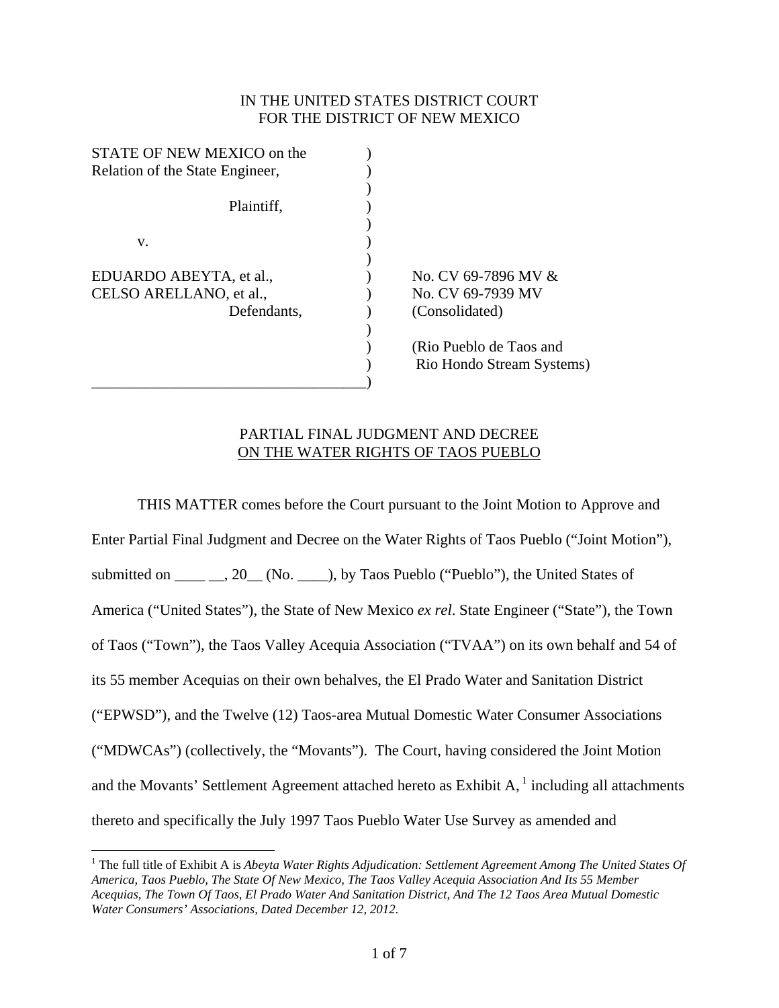## IN THE UNITED STATES DISTRICT COURT FOR THE DISTRICT OF NEW MEXICO

| STATE OF NEW MEXICO on the      |                           |
|---------------------------------|---------------------------|
| Relation of the State Engineer, |                           |
|                                 |                           |
| Plaintiff,                      |                           |
|                                 |                           |
| v.                              |                           |
|                                 |                           |
| EDUARDO ABEYTA, et al.,         | No. CV 69-7896 MV &       |
| CELSO ARELLANO, et al.,         | No. CV 69-7939 MV         |
| Defendants,                     | (Consolidated)            |
|                                 |                           |
|                                 | (Rio Pueblo de Taos and   |
|                                 | Rio Hondo Stream Systems) |
|                                 |                           |

## PARTIAL FINAL JUDGMENT AND DECREE ON THE WATER RIGHTS OF TAOS PUEBLO

 THIS MATTER comes before the Court pursuant to the Joint Motion to Approve and Enter Partial Final Judgment and Decree on the Water Rights of Taos Pueblo ("Joint Motion"), submitted on  $\qquad \qquad$  . 20  $\qquad$  (No.  $\qquad$  ), by Taos Pueblo ("Pueblo"), the United States of America ("United States"), the State of New Mexico *ex rel*. State Engineer ("State"), the Town of Taos ("Town"), the Taos Valley Acequia Association ("TVAA") on its own behalf and 54 of its 55 member Acequias on their own behalves, the El Prado Water and Sanitation District ("EPWSD"), and the Twelve (12) Taos-area Mutual Domestic Water Consumer Associations ("MDWCAs") (collectively, the "Movants"). The Court, having considered the Joint Motion and the Movants' Settlement Agreement attached hereto as Exhibit  $A<sub>1</sub><sup>1</sup>$  including all attachments thereto and specifically the July 1997 Taos Pueblo Water Use Survey as amended and

 $\overline{a}$ 

<sup>&</sup>lt;sup>1</sup> The full title of Exhibit A is *Abeyta Water Rights Adjudication: Settlement Agreement Among The United States Of America, Taos Pueblo, The State Of New Mexico, The Taos Valley Acequia Association And Its 55 Member Acequias, The Town Of Taos, El Prado Water And Sanitation District, And The 12 Taos Area Mutual Domestic Water Consumers' Associations, Dated December 12, 2012*.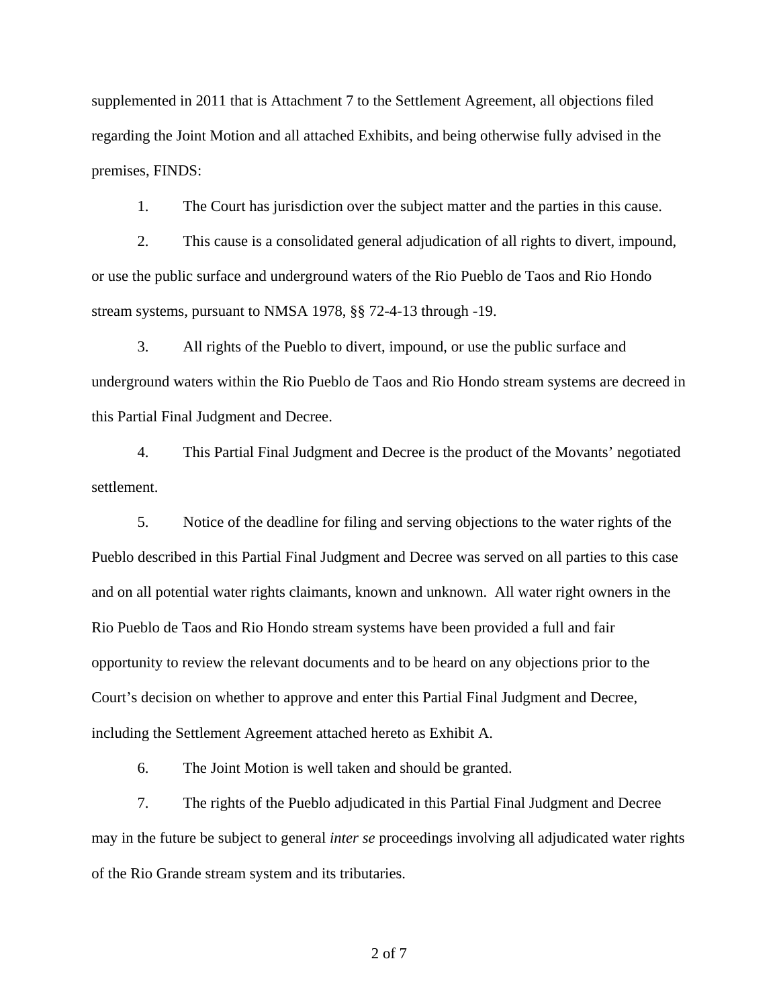supplemented in 2011 that is Attachment 7 to the Settlement Agreement, all objections filed regarding the Joint Motion and all attached Exhibits, and being otherwise fully advised in the premises, FINDS:

1. The Court has jurisdiction over the subject matter and the parties in this cause.

2. This cause is a consolidated general adjudication of all rights to divert, impound, or use the public surface and underground waters of the Rio Pueblo de Taos and Rio Hondo stream systems, pursuant to NMSA 1978, §§ 72-4-13 through -19.

3. All rights of the Pueblo to divert, impound, or use the public surface and underground waters within the Rio Pueblo de Taos and Rio Hondo stream systems are decreed in this Partial Final Judgment and Decree.

4. This Partial Final Judgment and Decree is the product of the Movants' negotiated settlement.

5. Notice of the deadline for filing and serving objections to the water rights of the Pueblo described in this Partial Final Judgment and Decree was served on all parties to this case and on all potential water rights claimants, known and unknown. All water right owners in the Rio Pueblo de Taos and Rio Hondo stream systems have been provided a full and fair opportunity to review the relevant documents and to be heard on any objections prior to the Court's decision on whether to approve and enter this Partial Final Judgment and Decree, including the Settlement Agreement attached hereto as Exhibit A.

6. The Joint Motion is well taken and should be granted.

7. The rights of the Pueblo adjudicated in this Partial Final Judgment and Decree may in the future be subject to general *inter se* proceedings involving all adjudicated water rights of the Rio Grande stream system and its tributaries.

2 of 7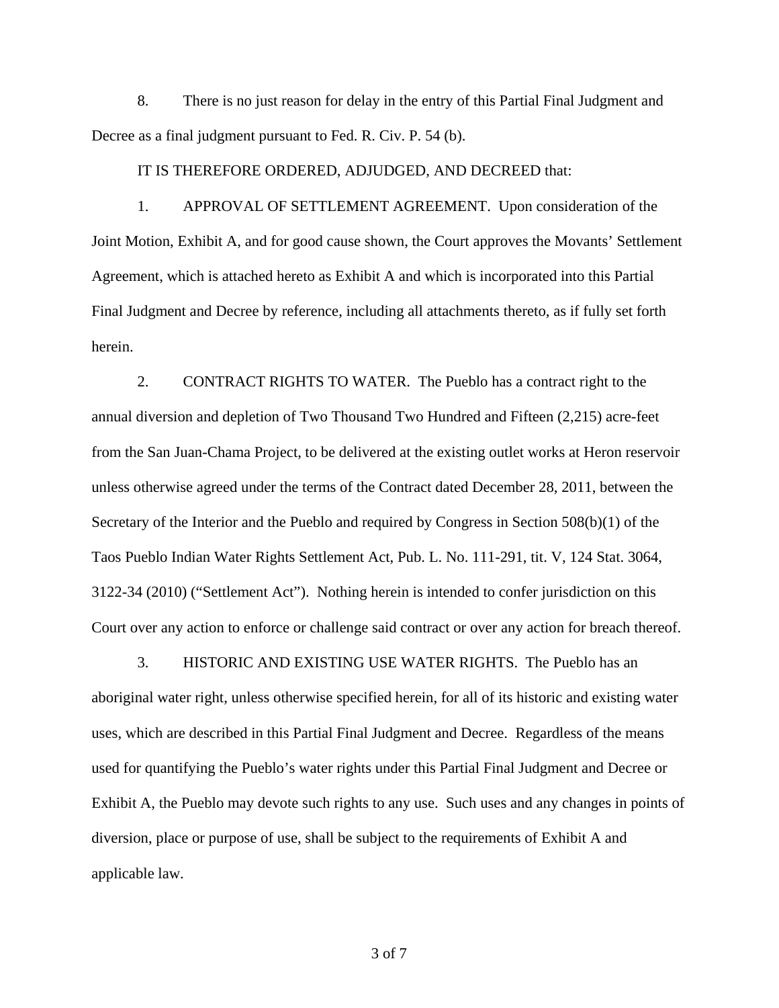8. There is no just reason for delay in the entry of this Partial Final Judgment and Decree as a final judgment pursuant to Fed. R. Civ. P. 54 (b).

IT IS THEREFORE ORDERED, ADJUDGED, AND DECREED that:

 1. APPROVAL OF SETTLEMENT AGREEMENT. Upon consideration of the Joint Motion, Exhibit A, and for good cause shown, the Court approves the Movants' Settlement Agreement, which is attached hereto as Exhibit A and which is incorporated into this Partial Final Judgment and Decree by reference, including all attachments thereto, as if fully set forth herein.

 2. CONTRACT RIGHTS TO WATER. The Pueblo has a contract right to the annual diversion and depletion of Two Thousand Two Hundred and Fifteen (2,215) acre-feet from the San Juan-Chama Project, to be delivered at the existing outlet works at Heron reservoir unless otherwise agreed under the terms of the Contract dated December 28, 2011, between the Secretary of the Interior and the Pueblo and required by Congress in Section 508(b)(1) of the Taos Pueblo Indian Water Rights Settlement Act, Pub. L. No. 111-291, tit. V, 124 Stat. 3064, 3122-34 (2010) ("Settlement Act"). Nothing herein is intended to confer jurisdiction on this Court over any action to enforce or challenge said contract or over any action for breach thereof.

 3. HISTORIC AND EXISTING USE WATER RIGHTS. The Pueblo has an aboriginal water right, unless otherwise specified herein, for all of its historic and existing water uses, which are described in this Partial Final Judgment and Decree. Regardless of the means used for quantifying the Pueblo's water rights under this Partial Final Judgment and Decree or Exhibit A, the Pueblo may devote such rights to any use. Such uses and any changes in points of diversion, place or purpose of use, shall be subject to the requirements of Exhibit A and applicable law.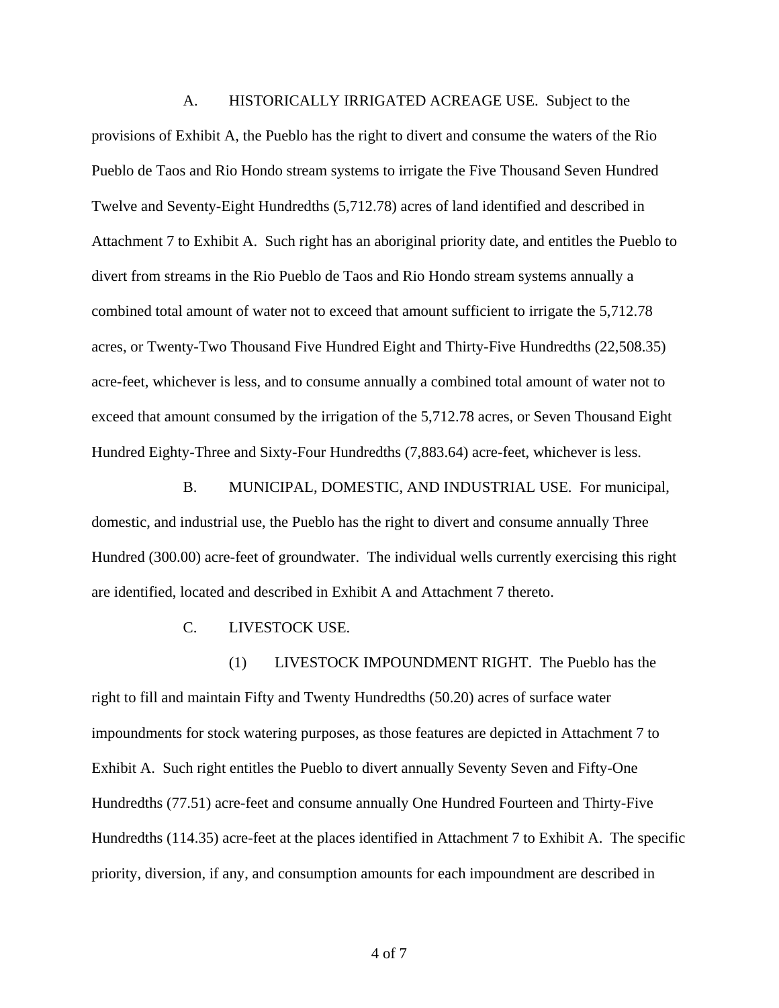A. HISTORICALLY IRRIGATED ACREAGE USE. Subject to the provisions of Exhibit A, the Pueblo has the right to divert and consume the waters of the Rio Pueblo de Taos and Rio Hondo stream systems to irrigate the Five Thousand Seven Hundred Twelve and Seventy-Eight Hundredths (5,712.78) acres of land identified and described in Attachment 7 to Exhibit A. Such right has an aboriginal priority date, and entitles the Pueblo to divert from streams in the Rio Pueblo de Taos and Rio Hondo stream systems annually a combined total amount of water not to exceed that amount sufficient to irrigate the 5,712.78 acres, or Twenty-Two Thousand Five Hundred Eight and Thirty-Five Hundredths (22,508.35) acre-feet, whichever is less, and to consume annually a combined total amount of water not to exceed that amount consumed by the irrigation of the 5,712.78 acres, or Seven Thousand Eight Hundred Eighty-Three and Sixty-Four Hundredths (7,883.64) acre-feet, whichever is less.

 B. MUNICIPAL, DOMESTIC, AND INDUSTRIAL USE. For municipal, domestic, and industrial use, the Pueblo has the right to divert and consume annually Three Hundred (300.00) acre-feet of groundwater. The individual wells currently exercising this right are identified, located and described in Exhibit A and Attachment 7 thereto.

C. LIVESTOCK USE.

 (1) LIVESTOCK IMPOUNDMENT RIGHT. The Pueblo has the right to fill and maintain Fifty and Twenty Hundredths (50.20) acres of surface water impoundments for stock watering purposes, as those features are depicted in Attachment 7 to Exhibit A. Such right entitles the Pueblo to divert annually Seventy Seven and Fifty-One Hundredths (77.51) acre-feet and consume annually One Hundred Fourteen and Thirty-Five Hundredths (114.35) acre-feet at the places identified in Attachment 7 to Exhibit A. The specific priority, diversion, if any, and consumption amounts for each impoundment are described in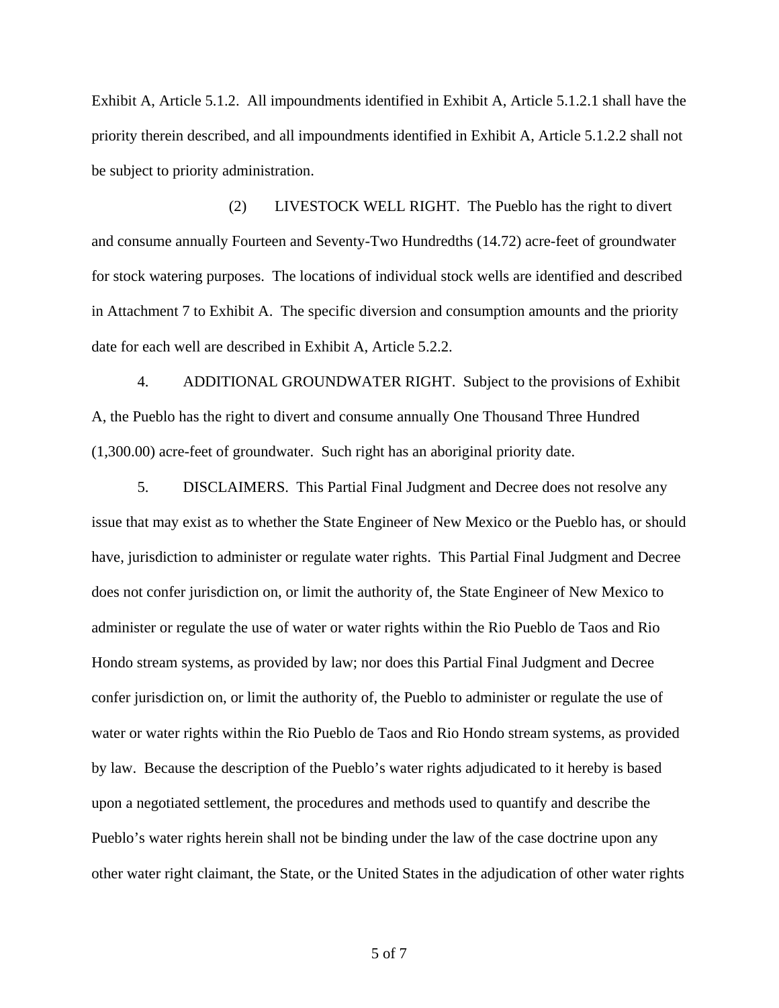Exhibit A, Article 5.1.2. All impoundments identified in Exhibit A, Article 5.1.2.1 shall have the priority therein described, and all impoundments identified in Exhibit A, Article 5.1.2.2 shall not be subject to priority administration.

 (2) LIVESTOCK WELL RIGHT. The Pueblo has the right to divert and consume annually Fourteen and Seventy-Two Hundredths (14.72) acre-feet of groundwater for stock watering purposes. The locations of individual stock wells are identified and described in Attachment 7 to Exhibit A. The specific diversion and consumption amounts and the priority date for each well are described in Exhibit A, Article 5.2.2.

 4. ADDITIONAL GROUNDWATER RIGHT. Subject to the provisions of Exhibit A, the Pueblo has the right to divert and consume annually One Thousand Three Hundred (1,300.00) acre-feet of groundwater. Such right has an aboriginal priority date.

 5. DISCLAIMERS. This Partial Final Judgment and Decree does not resolve any issue that may exist as to whether the State Engineer of New Mexico or the Pueblo has, or should have, jurisdiction to administer or regulate water rights. This Partial Final Judgment and Decree does not confer jurisdiction on, or limit the authority of, the State Engineer of New Mexico to administer or regulate the use of water or water rights within the Rio Pueblo de Taos and Rio Hondo stream systems, as provided by law; nor does this Partial Final Judgment and Decree confer jurisdiction on, or limit the authority of, the Pueblo to administer or regulate the use of water or water rights within the Rio Pueblo de Taos and Rio Hondo stream systems, as provided by law. Because the description of the Pueblo's water rights adjudicated to it hereby is based upon a negotiated settlement, the procedures and methods used to quantify and describe the Pueblo's water rights herein shall not be binding under the law of the case doctrine upon any other water right claimant, the State, or the United States in the adjudication of other water rights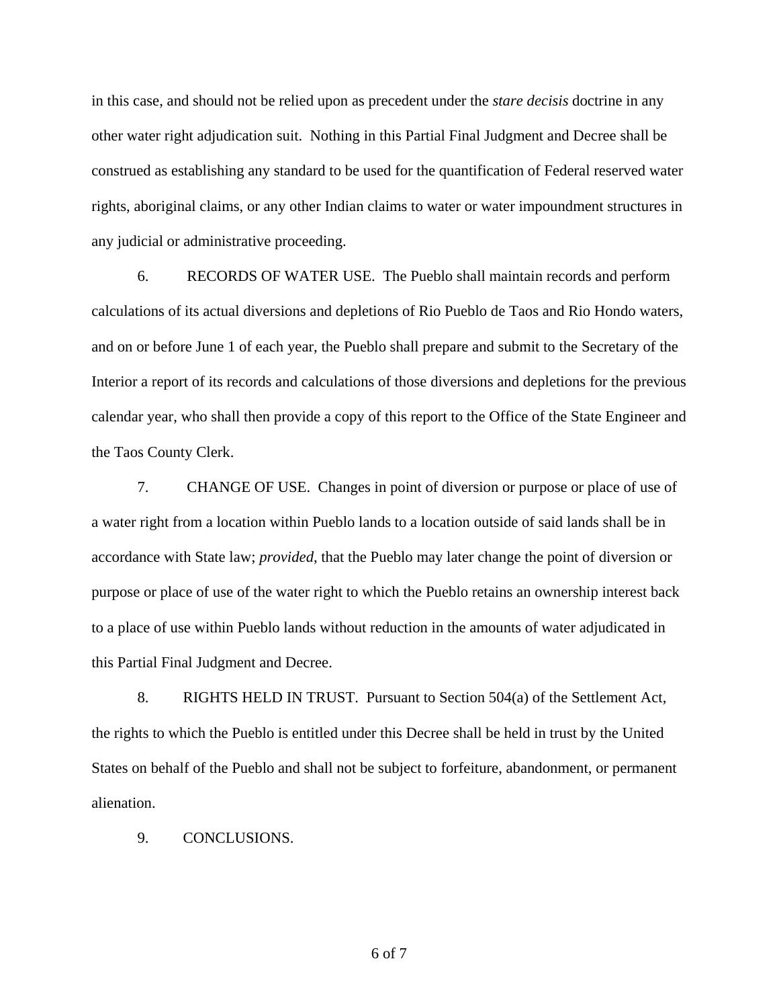in this case, and should not be relied upon as precedent under the *stare decisis* doctrine in any other water right adjudication suit. Nothing in this Partial Final Judgment and Decree shall be construed as establishing any standard to be used for the quantification of Federal reserved water rights, aboriginal claims, or any other Indian claims to water or water impoundment structures in any judicial or administrative proceeding.

 6. RECORDS OF WATER USE. The Pueblo shall maintain records and perform calculations of its actual diversions and depletions of Rio Pueblo de Taos and Rio Hondo waters, and on or before June 1 of each year, the Pueblo shall prepare and submit to the Secretary of the Interior a report of its records and calculations of those diversions and depletions for the previous calendar year, who shall then provide a copy of this report to the Office of the State Engineer and the Taos County Clerk.

 7. CHANGE OF USE. Changes in point of diversion or purpose or place of use of a water right from a location within Pueblo lands to a location outside of said lands shall be in accordance with State law; *provided*, that the Pueblo may later change the point of diversion or purpose or place of use of the water right to which the Pueblo retains an ownership interest back to a place of use within Pueblo lands without reduction in the amounts of water adjudicated in this Partial Final Judgment and Decree.

 8. RIGHTS HELD IN TRUST. Pursuant to Section 504(a) of the Settlement Act, the rights to which the Pueblo is entitled under this Decree shall be held in trust by the United States on behalf of the Pueblo and shall not be subject to forfeiture, abandonment, or permanent alienation.

9. CONCLUSIONS.

6 of 7